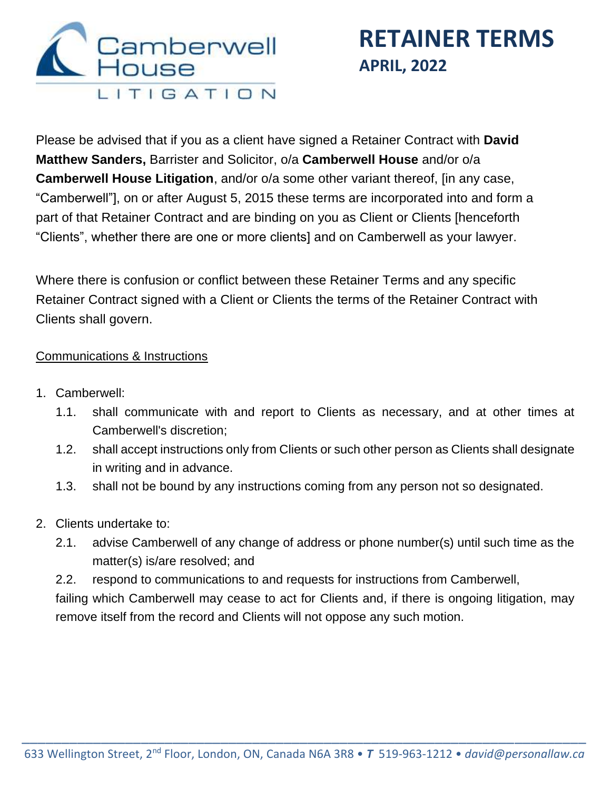

Please be advised that if you as a client have signed a Retainer Contract with **David Matthew Sanders,** Barrister and Solicitor, o/a **Camberwell House** and/or o/a **Camberwell House Litigation**, and/or o/a some other variant thereof, [in any case, "Camberwell"], on or after August 5, 2015 these terms are incorporated into and form a part of that Retainer Contract and are binding on you as Client or Clients [henceforth "Clients", whether there are one or more clients] and on Camberwell as your lawyer.

Where there is confusion or conflict between these Retainer Terms and any specific Retainer Contract signed with a Client or Clients the terms of the Retainer Contract with Clients shall govern.

### Communications & Instructions

- 1. Camberwell:
	- 1.1. shall communicate with and report to Clients as necessary, and at other times at Camberwell's discretion;
	- 1.2. shall accept instructions only from Clients or such other person as Clients shall designate in writing and in advance.
	- 1.3. shall not be bound by any instructions coming from any person not so designated.
- 2. Clients undertake to:
	- 2.1. advise Camberwell of any change of address or phone number(s) until such time as the matter(s) is/are resolved; and

2.2. respond to communications to and requests for instructions from Camberwell, failing which Camberwell may cease to act for Clients and, if there is ongoing litigation, may remove itself from the record and Clients will not oppose any such motion.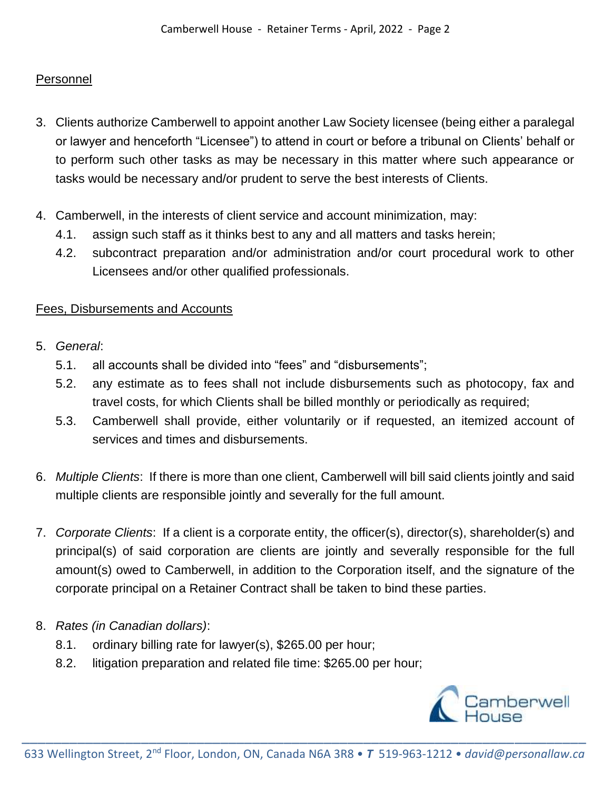### **Personnel**

- 3. Clients authorize Camberwell to appoint another Law Society licensee (being either a paralegal or lawyer and henceforth "Licensee") to attend in court or before a tribunal on Clients' behalf or to perform such other tasks as may be necessary in this matter where such appearance or tasks would be necessary and/or prudent to serve the best interests of Clients.
- 4. Camberwell, in the interests of client service and account minimization, may:
	- 4.1. assign such staff as it thinks best to any and all matters and tasks herein;
	- 4.2. subcontract preparation and/or administration and/or court procedural work to other Licensees and/or other qualified professionals.

### Fees, Disbursements and Accounts

- 5. *General*:
	- 5.1. all accounts shall be divided into "fees" and "disbursements";
	- 5.2. any estimate as to fees shall not include disbursements such as photocopy, fax and travel costs, for which Clients shall be billed monthly or periodically as required;
	- 5.3. Camberwell shall provide, either voluntarily or if requested, an itemized account of services and times and disbursements.
- 6. *Multiple Clients*: If there is more than one client, Camberwell will bill said clients jointly and said multiple clients are responsible jointly and severally for the full amount.
- 7. *Corporate Clients*: If a client is a corporate entity, the officer(s), director(s), shareholder(s) and principal(s) of said corporation are clients are jointly and severally responsible for the full amount(s) owed to Camberwell, in addition to the Corporation itself, and the signature of the corporate principal on a Retainer Contract shall be taken to bind these parties.
- 8. *Rates (in Canadian dollars)*:
	- 8.1. ordinary billing rate for lawyer(s), \$265.00 per hour;
	- 8.2. litigation preparation and related file time: \$265.00 per hour;

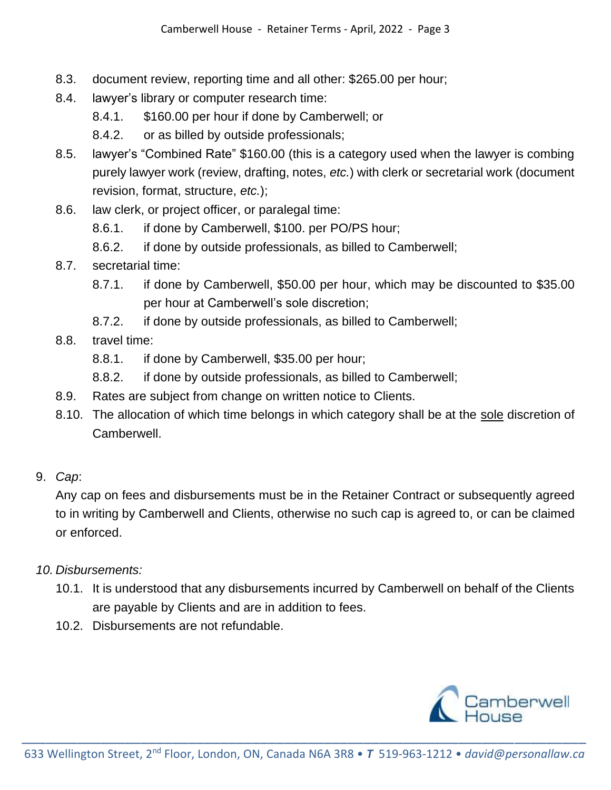- 8.3. document review, reporting time and all other: \$265.00 per hour;
- 8.4. lawyer's library or computer research time:
	- 8.4.1. \$160.00 per hour if done by Camberwell; or
	- 8.4.2. or as billed by outside professionals;
- 8.5. lawyer's "Combined Rate" \$160.00 (this is a category used when the lawyer is combing purely lawyer work (review, drafting, notes, *etc.*) with clerk or secretarial work (document revision, format, structure, *etc.*);
- 8.6. law clerk, or project officer, or paralegal time:
	- 8.6.1. if done by Camberwell, \$100. per PO/PS hour;
	- 8.6.2. if done by outside professionals, as billed to Camberwell;
- 8.7. secretarial time:
	- 8.7.1. if done by Camberwell, \$50.00 per hour, which may be discounted to \$35.00 per hour at Camberwell's sole discretion;
	- 8.7.2. if done by outside professionals, as billed to Camberwell;
- 8.8. travel time:
	- 8.8.1. if done by Camberwell, \$35.00 per hour;
	- 8.8.2. if done by outside professionals, as billed to Camberwell;
- 8.9. Rates are subject from change on written notice to Clients.
- 8.10. The allocation of which time belongs in which category shall be at the sole discretion of Camberwell.
- 9. *Cap*:

Any cap on fees and disbursements must be in the Retainer Contract or subsequently agreed to in writing by Camberwell and Clients, otherwise no such cap is agreed to, or can be claimed or enforced.

- *10. Disbursements:*
	- 10.1. It is understood that any disbursements incurred by Camberwell on behalf of the Clients are payable by Clients and are in addition to fees.
	- 10.2. Disbursements are not refundable.

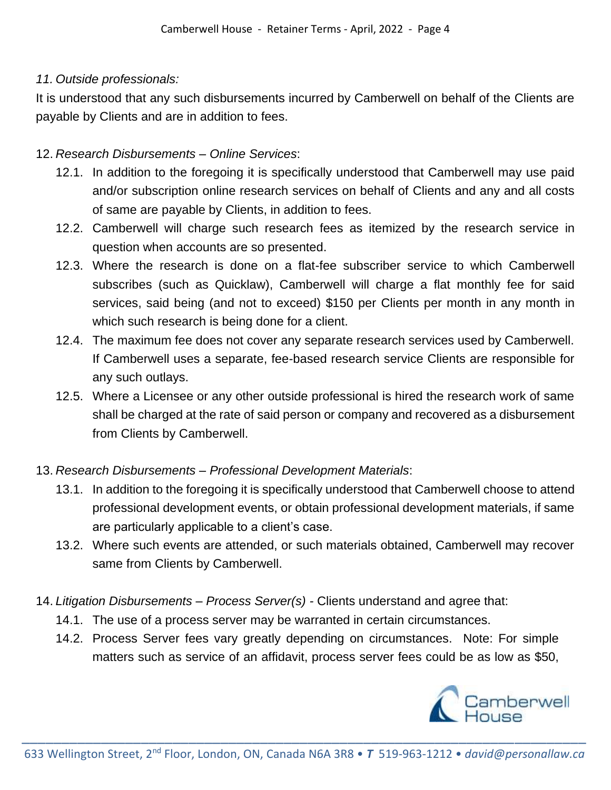### *11. Outside professionals:*

It is understood that any such disbursements incurred by Camberwell on behalf of the Clients are payable by Clients and are in addition to fees.

### 12. *Research Disbursements – Online Services*:

- 12.1. In addition to the foregoing it is specifically understood that Camberwell may use paid and/or subscription online research services on behalf of Clients and any and all costs of same are payable by Clients, in addition to fees.
- 12.2. Camberwell will charge such research fees as itemized by the research service in question when accounts are so presented.
- 12.3. Where the research is done on a flat-fee subscriber service to which Camberwell subscribes (such as Quicklaw), Camberwell will charge a flat monthly fee for said services, said being (and not to exceed) \$150 per Clients per month in any month in which such research is being done for a client.
- 12.4. The maximum fee does not cover any separate research services used by Camberwell. If Camberwell uses a separate, fee-based research service Clients are responsible for any such outlays.
- 12.5. Where a Licensee or any other outside professional is hired the research work of same shall be charged at the rate of said person or company and recovered as a disbursement from Clients by Camberwell.

# 13. *Research Disbursements – Professional Development Materials*:

- 13.1. In addition to the foregoing it is specifically understood that Camberwell choose to attend professional development events, or obtain professional development materials, if same are particularly applicable to a client's case.
- 13.2. Where such events are attended, or such materials obtained, Camberwell may recover same from Clients by Camberwell.
- 14. *Litigation Disbursements – Process Server(s) -* Clients understand and agree that:
	- 14.1. The use of a process server may be warranted in certain circumstances.
	- 14.2. Process Server fees vary greatly depending on circumstances. Note: For simple matters such as service of an affidavit, process server fees could be as low as \$50,

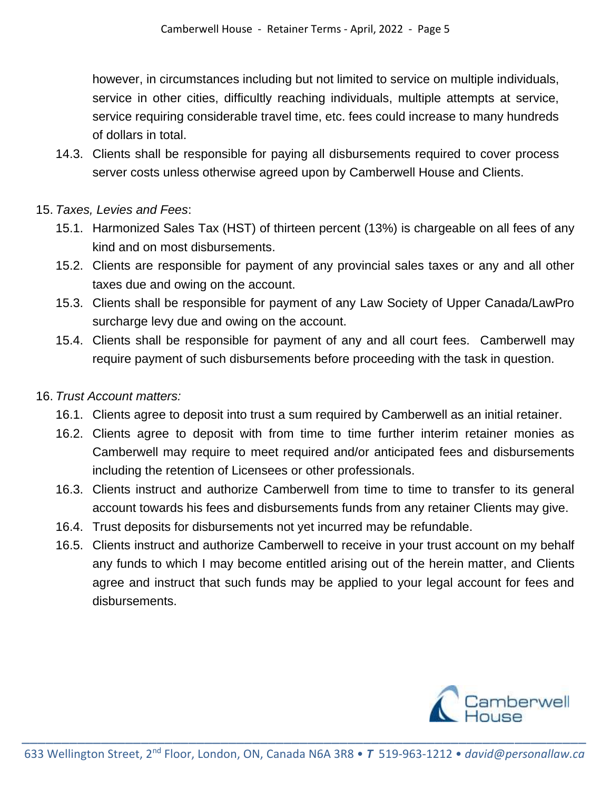however, in circumstances including but not limited to service on multiple individuals, service in other cities, difficultly reaching individuals, multiple attempts at service, service requiring considerable travel time, etc. fees could increase to many hundreds of dollars in total.

14.3. Clients shall be responsible for paying all disbursements required to cover process server costs unless otherwise agreed upon by Camberwell House and Clients.

### 15. *Taxes, Levies and Fees*:

- 15.1. Harmonized Sales Tax (HST) of thirteen percent (13%) is chargeable on all fees of any kind and on most disbursements.
- 15.2. Clients are responsible for payment of any provincial sales taxes or any and all other taxes due and owing on the account.
- 15.3. Clients shall be responsible for payment of any Law Society of Upper Canada/LawPro surcharge levy due and owing on the account.
- 15.4. Clients shall be responsible for payment of any and all court fees. Camberwell may require payment of such disbursements before proceeding with the task in question.

### 16. *Trust Account matters:*

- 16.1. Clients agree to deposit into trust a sum required by Camberwell as an initial retainer.
- 16.2. Clients agree to deposit with from time to time further interim retainer monies as Camberwell may require to meet required and/or anticipated fees and disbursements including the retention of Licensees or other professionals.
- 16.3. Clients instruct and authorize Camberwell from time to time to transfer to its general account towards his fees and disbursements funds from any retainer Clients may give.
- 16.4. Trust deposits for disbursements not yet incurred may be refundable.
- 16.5. Clients instruct and authorize Camberwell to receive in your trust account on my behalf any funds to which I may become entitled arising out of the herein matter, and Clients agree and instruct that such funds may be applied to your legal account for fees and disbursements.

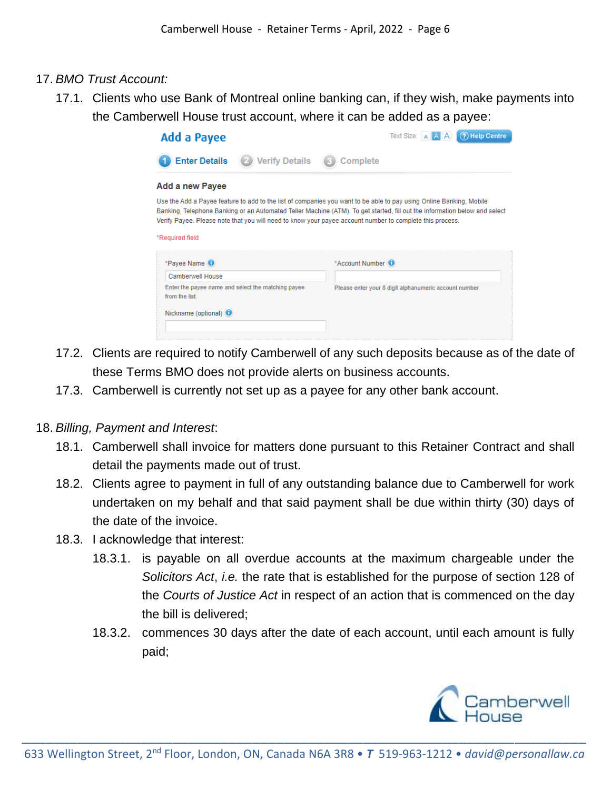#### 17. *BMO Trust Account:*

17.1. Clients who use Bank of Montreal online banking can, if they wish, make payments into the Camberwell House trust account, where it can be added as a payee:



- 17.2. Clients are required to notify Camberwell of any such deposits because as of the date of these Terms BMO does not provide alerts on business accounts.
- 17.3. Camberwell is currently not set up as a payee for any other bank account.

#### 18. *Billing, Payment and Interest*:

- 18.1. Camberwell shall invoice for matters done pursuant to this Retainer Contract and shall detail the payments made out of trust.
- 18.2. Clients agree to payment in full of any outstanding balance due to Camberwell for work undertaken on my behalf and that said payment shall be due within thirty (30) days of the date of the invoice.
- 18.3. I acknowledge that interest:
	- 18.3.1. is payable on all overdue accounts at the maximum chargeable under the *Solicitors Act*, *i.e.* the rate that is established for the purpose of section 128 of the *Courts of Justice Act* in respect of an action that is commenced on the day the bill is delivered;
	- 18.3.2. commences 30 days after the date of each account, until each amount is fully paid;

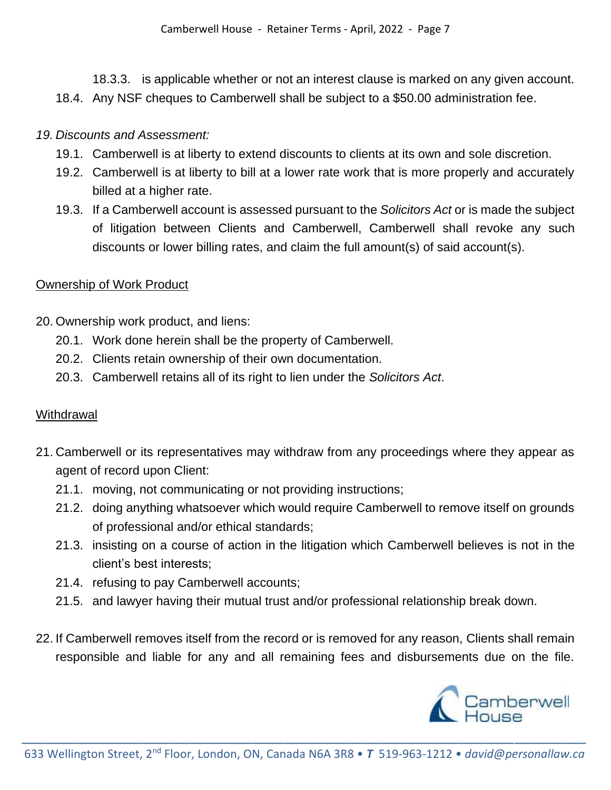18.3.3. is applicable whether or not an interest clause is marked on any given account. 18.4. Any NSF cheques to Camberwell shall be subject to a \$50.00 administration fee.

#### *19. Discounts and Assessment:*

- 19.1. Camberwell is at liberty to extend discounts to clients at its own and sole discretion.
- 19.2. Camberwell is at liberty to bill at a lower rate work that is more properly and accurately billed at a higher rate.
- 19.3. If a Camberwell account is assessed pursuant to the *Solicitors Act* or is made the subject of litigation between Clients and Camberwell, Camberwell shall revoke any such discounts or lower billing rates, and claim the full amount(s) of said account(s).

#### Ownership of Work Product

- 20. Ownership work product, and liens:
	- 20.1. Work done herein shall be the property of Camberwell.
	- 20.2. Clients retain ownership of their own documentation.
	- 20.3. Camberwell retains all of its right to lien under the *Solicitors Act*.

### **Withdrawal**

- 21. Camberwell or its representatives may withdraw from any proceedings where they appear as agent of record upon Client:
	- 21.1. moving, not communicating or not providing instructions;
	- 21.2. doing anything whatsoever which would require Camberwell to remove itself on grounds of professional and/or ethical standards;
	- 21.3. insisting on a course of action in the litigation which Camberwell believes is not in the client's best interests;
	- 21.4. refusing to pay Camberwell accounts;
	- 21.5. and lawyer having their mutual trust and/or professional relationship break down.
- 22. If Camberwell removes itself from the record or is removed for any reason, Clients shall remain responsible and liable for any and all remaining fees and disbursements due on the file.

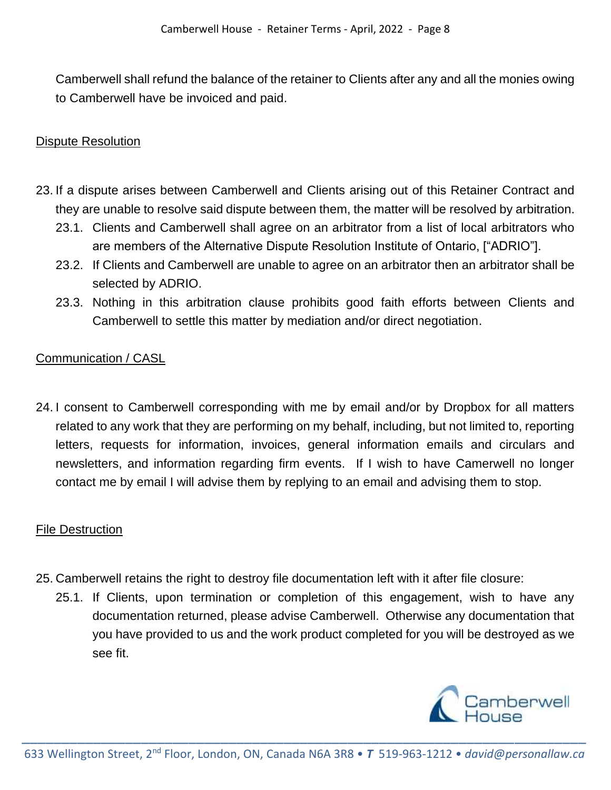Camberwell shall refund the balance of the retainer to Clients after any and all the monies owing to Camberwell have be invoiced and paid.

### Dispute Resolution

- 23. If a dispute arises between Camberwell and Clients arising out of this Retainer Contract and they are unable to resolve said dispute between them, the matter will be resolved by arbitration.
	- 23.1. Clients and Camberwell shall agree on an arbitrator from a list of local arbitrators who are members of the Alternative Dispute Resolution Institute of Ontario, ["ADRIO"].
	- 23.2. If Clients and Camberwell are unable to agree on an arbitrator then an arbitrator shall be selected by ADRIO.
	- 23.3. Nothing in this arbitration clause prohibits good faith efforts between Clients and Camberwell to settle this matter by mediation and/or direct negotiation.

## Communication / CASL

24. I consent to Camberwell corresponding with me by email and/or by Dropbox for all matters related to any work that they are performing on my behalf, including, but not limited to, reporting letters, requests for information, invoices, general information emails and circulars and newsletters, and information regarding firm events. If I wish to have Camerwell no longer contact me by email I will advise them by replying to an email and advising them to stop.

### File Destruction

- 25. Camberwell retains the right to destroy file documentation left with it after file closure:
	- 25.1. If Clients, upon termination or completion of this engagement, wish to have any documentation returned, please advise Camberwell. Otherwise any documentation that you have provided to us and the work product completed for you will be destroyed as we see fit.

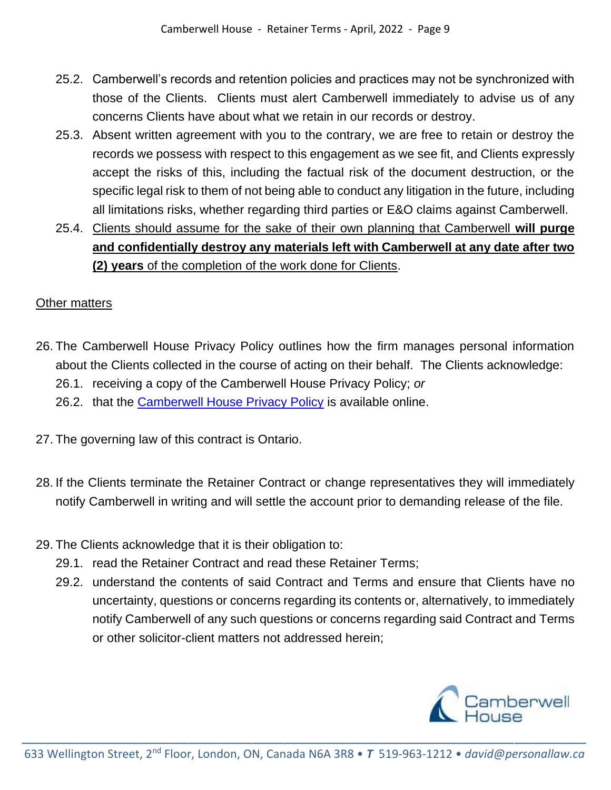- 25.2. Camberwell's records and retention policies and practices may not be synchronized with those of the Clients. Clients must alert Camberwell immediately to advise us of any concerns Clients have about what we retain in our records or destroy.
- 25.3. Absent written agreement with you to the contrary, we are free to retain or destroy the records we possess with respect to this engagement as we see fit, and Clients expressly accept the risks of this, including the factual risk of the document destruction, or the specific legal risk to them of not being able to conduct any litigation in the future, including all limitations risks, whether regarding third parties or E&O claims against Camberwell.
- 25.4. Clients should assume for the sake of their own planning that Camberwell **will purge and confidentially destroy any materials left with Camberwell at any date after two (2) years** of the completion of the work done for Clients.

# Other matters

- 26. The Camberwell House Privacy Policy outlines how the firm manages personal information about the Clients collected in the course of acting on their behalf. The Clients acknowledge:
	- 26.1. receiving a copy of the Camberwell House Privacy Policy; *or*
	- 26.2. that the [Camberwell House Privacy Policy](http://personallaw.ca/wp-content/uploads/2018/10/Camberwell-House-Privacy-Policy.pdf) is available online.
- 27. The governing law of this contract is Ontario.
- 28. If the Clients terminate the Retainer Contract or change representatives they will immediately notify Camberwell in writing and will settle the account prior to demanding release of the file.
- 29. The Clients acknowledge that it is their obligation to:
	- 29.1. read the Retainer Contract and read these Retainer Terms;
	- 29.2. understand the contents of said Contract and Terms and ensure that Clients have no uncertainty, questions or concerns regarding its contents or, alternatively, to immediately notify Camberwell of any such questions or concerns regarding said Contract and Terms or other solicitor-client matters not addressed herein;